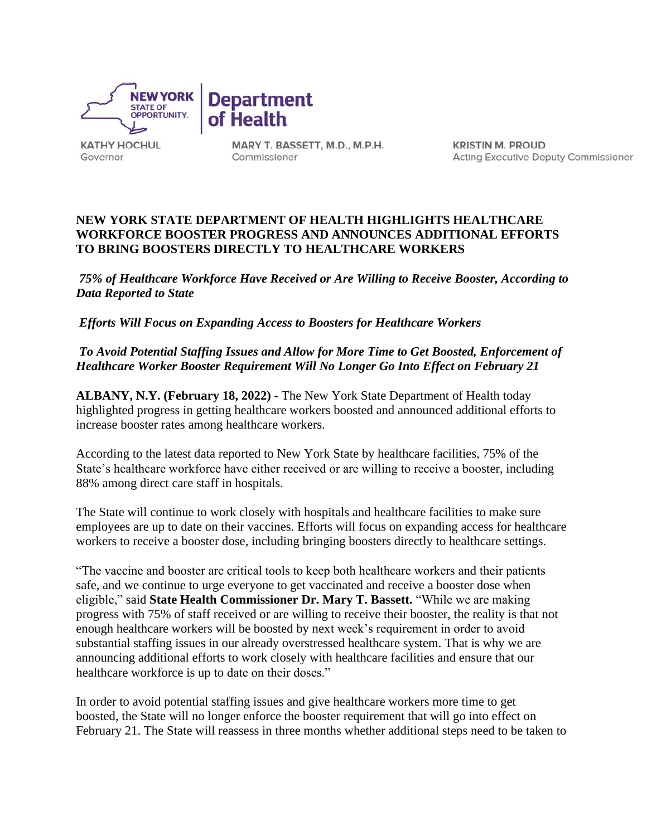

**KATHY HOCHUL** Governor

MARY T. BASSETT, M.D., M.P.H. Commissioner

**KRISTIN M. PROUD** Acting Executive Deputy Commissioner

## **NEW YORK STATE DEPARTMENT OF HEALTH HIGHLIGHTS HEALTHCARE WORKFORCE BOOSTER PROGRESS AND ANNOUNCES ADDITIONAL EFFORTS TO BRING BOOSTERS DIRECTLY TO HEALTHCARE WORKERS**

*75% of Healthcare Workforce Have Received or Are Willing to Receive Booster, According to Data Reported to State*

*Efforts Will Focus on Expanding Access to Boosters for Healthcare Workers*

*To Avoid Potential Staffing Issues and Allow for More Time to Get Boosted, Enforcement of Healthcare Worker Booster Requirement Will No Longer Go Into Effect on February 21*

**ALBANY, N.Y. (February 18, 2022) -** The New York State Department of Health today highlighted progress in getting healthcare workers boosted and announced additional efforts to increase booster rates among healthcare workers.

According to the latest data reported to New York State by healthcare facilities, 75% of the State's healthcare workforce have either received or are willing to receive a booster, including 88% among direct care staff in hospitals.

The State will continue to work closely with hospitals and healthcare facilities to make sure employees are up to date on their vaccines. Efforts will focus on expanding access for healthcare workers to receive a booster dose, including bringing boosters directly to healthcare settings.

"The vaccine and booster are critical tools to keep both healthcare workers and their patients safe, and we continue to urge everyone to get vaccinated and receive a booster dose when eligible," said **State Health Commissioner Dr. Mary T. Bassett.** "While we are making progress with 75% of staff received or are willing to receive their booster, the reality is that not enough healthcare workers will be boosted by next week's requirement in order to avoid substantial staffing issues in our already overstressed healthcare system. That is why we are announcing additional efforts to work closely with healthcare facilities and ensure that our healthcare workforce is up to date on their doses."

In order to avoid potential staffing issues and give healthcare workers more time to get boosted, the State will no longer enforce the booster requirement that will go into effect on February 21. The State will reassess in three months whether additional steps need to be taken to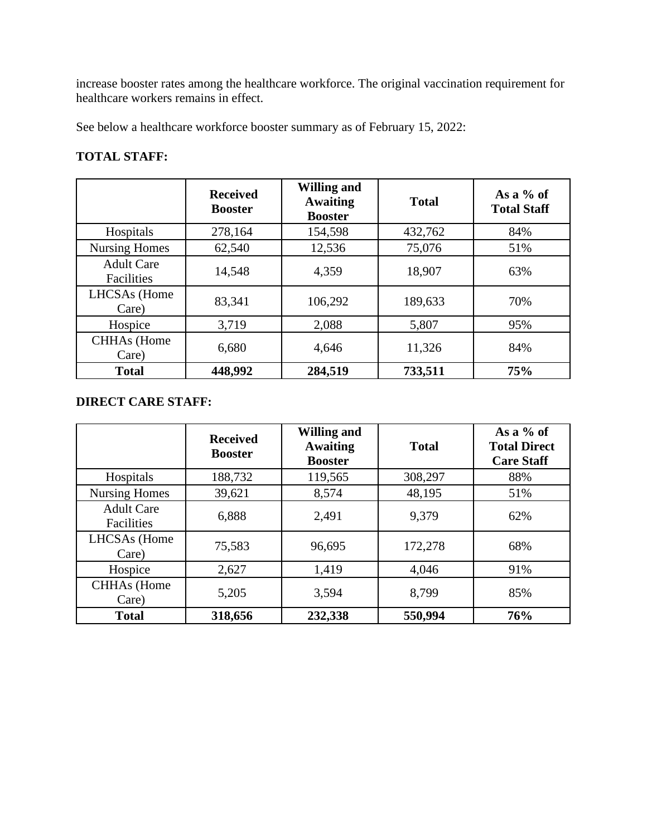increase booster rates among the healthcare workforce. The original vaccination requirement for healthcare workers remains in effect.

See below a healthcare workforce booster summary as of February 15, 2022:

## **TOTAL STAFF:**

|                                 | <b>Received</b><br><b>Booster</b> | <b>Willing and</b><br><b>Awaiting</b><br><b>Booster</b> | <b>Total</b> | As a $%$ of<br><b>Total Staff</b> |
|---------------------------------|-----------------------------------|---------------------------------------------------------|--------------|-----------------------------------|
| Hospitals                       | 278,164                           | 154,598                                                 | 432,762      | 84%                               |
| <b>Nursing Homes</b>            | 62,540                            | 12,536                                                  | 75,076       | 51%                               |
| <b>Adult Care</b><br>Facilities | 14,548                            | 4,359                                                   | 18,907       | 63%                               |
| LHCSAs (Home<br>Care)           | 83,341                            | 106,292                                                 | 189,633      | 70%                               |
| Hospice                         | 3,719                             | 2,088                                                   | 5,807        | 95%                               |
| <b>CHHAs</b> (Home<br>Care)     | 6,680                             | 4,646                                                   | 11,326       | 84%                               |
| <b>Total</b>                    | 448,992                           | 284,519                                                 | 733,511      | 75%                               |

## **DIRECT CARE STAFF:**

|                                 | <b>Received</b><br><b>Booster</b> | <b>Willing and</b><br><b>Awaiting</b><br><b>Booster</b> | <b>Total</b> | As a $%$ of<br><b>Total Direct</b><br><b>Care Staff</b> |
|---------------------------------|-----------------------------------|---------------------------------------------------------|--------------|---------------------------------------------------------|
| Hospitals                       | 188,732                           | 119,565                                                 | 308,297      | 88%                                                     |
| <b>Nursing Homes</b>            | 39,621                            | 8,574                                                   | 48,195       | 51%                                                     |
| <b>Adult Care</b><br>Facilities | 6,888                             | 2,491                                                   | 9,379        | 62%                                                     |
| LHCSAs (Home<br>Care)           | 75,583                            | 96,695                                                  | 172,278      | 68%                                                     |
| Hospice                         | 2,627                             | 1,419                                                   | 4,046        | 91%                                                     |
| <b>CHHAs</b> (Home<br>Care)     | 5,205                             | 3,594                                                   | 8,799        | 85%                                                     |
| <b>Total</b>                    | 318,656                           | 232,338                                                 | 550,994      | 76%                                                     |